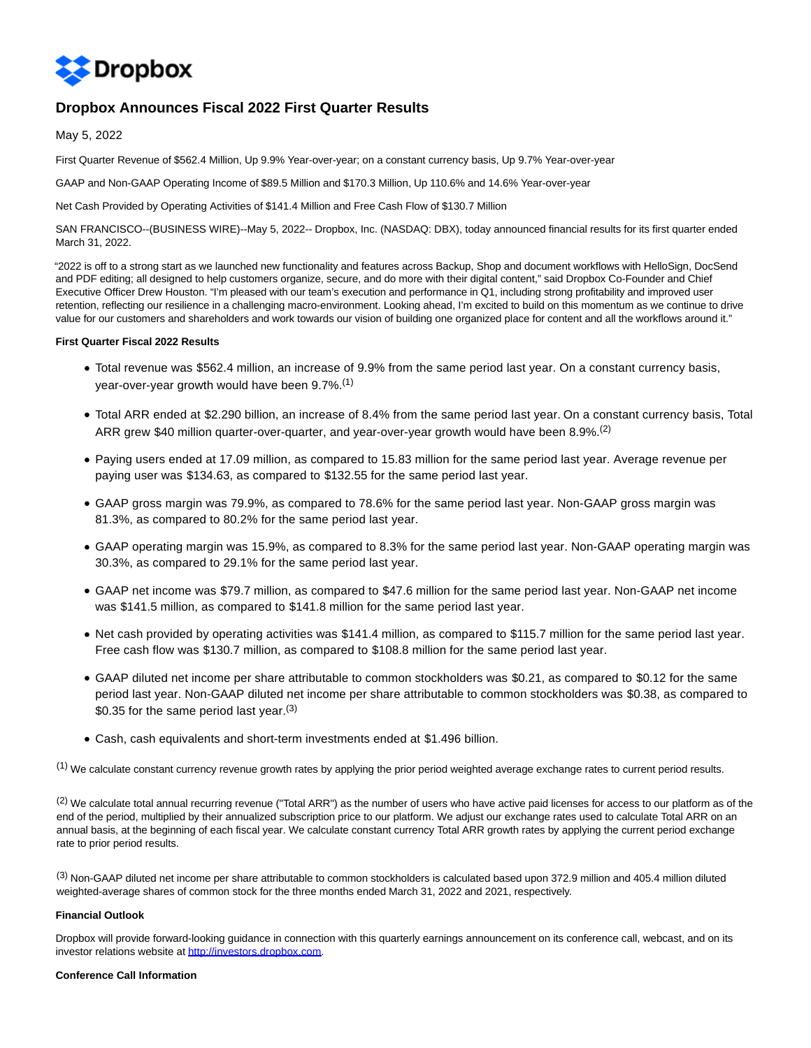

# **Dropbox Announces Fiscal 2022 First Quarter Results**

May 5, 2022

First Quarter Revenue of \$562.4 Million, Up 9.9% Year-over-year; on a constant currency basis, Up 9.7% Year-over-year

GAAP and Non-GAAP Operating Income of \$89.5 Million and \$170.3 Million, Up 110.6% and 14.6% Year-over-year

Net Cash Provided by Operating Activities of \$141.4 Million and Free Cash Flow of \$130.7 Million

SAN FRANCISCO--(BUSINESS WIRE)--May 5, 2022-- Dropbox, Inc. (NASDAQ: DBX), today announced financial results for its first quarter ended March 31, 2022.

"2022 is off to a strong start as we launched new functionality and features across Backup, Shop and document workflows with HelloSign, DocSend and PDF editing; all designed to help customers organize, secure, and do more with their digital content," said Dropbox Co-Founder and Chief Executive Officer Drew Houston. "I'm pleased with our team's execution and performance in Q1, including strong profitability and improved user retention, reflecting our resilience in a challenging macro-environment. Looking ahead, I'm excited to build on this momentum as we continue to drive value for our customers and shareholders and work towards our vision of building one organized place for content and all the workflows around it."

#### **First Quarter Fiscal 2022 Results**

- Total revenue was \$562.4 million, an increase of 9.9% from the same period last year. On a constant currency basis, year-over-year growth would have been 9.7%.(1)
- Total ARR ended at \$2.290 billion, an increase of 8.4% from the same period last year. On a constant currency basis, Total ARR grew \$40 million quarter-over-quarter, and year-over-year growth would have been 8.9%.<sup>(2)</sup>
- Paying users ended at 17.09 million, as compared to 15.83 million for the same period last year. Average revenue per paying user was \$134.63, as compared to \$132.55 for the same period last year.
- GAAP gross margin was 79.9%, as compared to 78.6% for the same period last year. Non-GAAP gross margin was 81.3%, as compared to 80.2% for the same period last year.
- GAAP operating margin was 15.9%, as compared to 8.3% for the same period last year. Non-GAAP operating margin was 30.3%, as compared to 29.1% for the same period last year.
- GAAP net income was \$79.7 million, as compared to \$47.6 million for the same period last year. Non-GAAP net income was \$141.5 million, as compared to \$141.8 million for the same period last year.
- Net cash provided by operating activities was \$141.4 million, as compared to \$115.7 million for the same period last year. Free cash flow was \$130.7 million, as compared to \$108.8 million for the same period last year.
- GAAP diluted net income per share attributable to common stockholders was \$0.21, as compared to \$0.12 for the same period last year. Non-GAAP diluted net income per share attributable to common stockholders was \$0.38, as compared to \$0.35 for the same period last year.  $(3)$
- Cash, cash equivalents and short-term investments ended at \$1.496 billion.

(1) We calculate constant currency revenue growth rates by applying the prior period weighted average exchange rates to current period results.

 $(2)$  We calculate total annual recurring revenue ("Total ARR") as the number of users who have active paid licenses for access to our platform as of the end of the period, multiplied by their annualized subscription price to our platform. We adjust our exchange rates used to calculate Total ARR on an annual basis, at the beginning of each fiscal year. We calculate constant currency Total ARR growth rates by applying the current period exchange rate to prior period results.

<sup>(3)</sup> Non-GAAP diluted net income per share attributable to common stockholders is calculated based upon 372.9 million and 405.4 million diluted weighted-average shares of common stock for the three months ended March 31, 2022 and 2021, respectively.

#### **Financial Outlook**

Dropbox will provide forward-looking guidance in connection with this quarterly earnings announcement on its conference call, webcast, and on its investor relations website a[t http://investors.dropbox.com.](https://cts.businesswire.com/ct/CT?id=smartlink&url=http%3A%2F%2Finvestors.dropbox.com&esheet=52709389&newsitemid=20220505005670&lan=en-US&anchor=http%3A%2F%2Finvestors.dropbox.com&index=1&md5=c5ca5146543d169e284e3c68857d7f4f)

#### **Conference Call Information**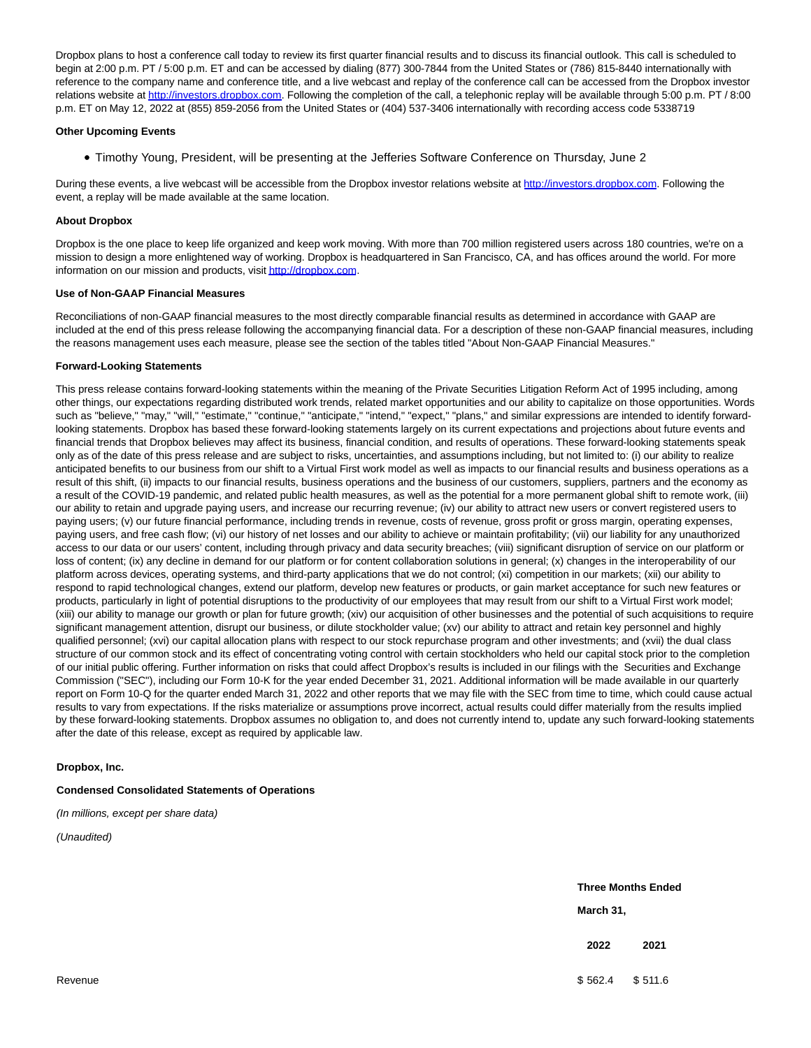Dropbox plans to host a conference call today to review its first quarter financial results and to discuss its financial outlook. This call is scheduled to begin at 2:00 p.m. PT / 5:00 p.m. ET and can be accessed by dialing (877) 300-7844 from the United States or (786) 815-8440 internationally with reference to the company name and conference title, and a live webcast and replay of the conference call can be accessed from the Dropbox investor relations website a[t http://investors.dropbox.com.](https://cts.businesswire.com/ct/CT?id=smartlink&url=http%3A%2F%2Finvestors.dropbox.com&esheet=52709389&newsitemid=20220505005670&lan=en-US&anchor=http%3A%2F%2Finvestors.dropbox.com&index=2&md5=de02a39f0ace9e2fd0d7053475b3cb24) Following the completion of the call, a telephonic replay will be available through 5:00 p.m. PT / 8:00 p.m. ET on May 12, 2022 at (855) 859-2056 from the United States or (404) 537-3406 internationally with recording access code 5338719

#### **Other Upcoming Events**

Timothy Young, President, will be presenting at the Jefferies Software Conference on Thursday, June 2

During these events, a live webcast will be accessible from the Dropbox investor relations website at [http://investors.dropbox.com.](https://cts.businesswire.com/ct/CT?id=smartlink&url=http%3A%2F%2Finvestors.dropbox.com&esheet=52709389&newsitemid=20220505005670&lan=en-US&anchor=http%3A%2F%2Finvestors.dropbox.com&index=3&md5=65aa6990c3e62a4199b803d336c60eaa) Following the event, a replay will be made available at the same location.

#### **About Dropbox**

Dropbox is the one place to keep life organized and keep work moving. With more than 700 million registered users across 180 countries, we're on a mission to design a more enlightened way of working. Dropbox is headquartered in San Francisco, CA, and has offices around the world. For more information on our mission and products, visi[t http://dropbox.com.](https://cts.businesswire.com/ct/CT?id=smartlink&url=http%3A%2F%2Fdropbox.com&esheet=52709389&newsitemid=20220505005670&lan=en-US&anchor=http%3A%2F%2Fdropbox.com&index=4&md5=7367f9d77c17cee103f9739d010da96e)

#### **Use of Non-GAAP Financial Measures**

Reconciliations of non-GAAP financial measures to the most directly comparable financial results as determined in accordance with GAAP are included at the end of this press release following the accompanying financial data. For a description of these non-GAAP financial measures, including the reasons management uses each measure, please see the section of the tables titled "About Non-GAAP Financial Measures."

#### **Forward-Looking Statements**

This press release contains forward-looking statements within the meaning of the Private Securities Litigation Reform Act of 1995 including, among other things, our expectations regarding distributed work trends, related market opportunities and our ability to capitalize on those opportunities. Words such as "believe," "may," "will," "estimate," "continue," "anticipate," "intend," "expect," "plans," and similar expressions are intended to identify forwardlooking statements. Dropbox has based these forward-looking statements largely on its current expectations and projections about future events and financial trends that Dropbox believes may affect its business, financial condition, and results of operations. These forward-looking statements speak only as of the date of this press release and are subject to risks, uncertainties, and assumptions including, but not limited to: (i) our ability to realize anticipated benefits to our business from our shift to a Virtual First work model as well as impacts to our financial results and business operations as a result of this shift, (ii) impacts to our financial results, business operations and the business of our customers, suppliers, partners and the economy as a result of the COVID-19 pandemic, and related public health measures, as well as the potential for a more permanent global shift to remote work, (iii) our ability to retain and upgrade paying users, and increase our recurring revenue; (iv) our ability to attract new users or convert registered users to paying users; (v) our future financial performance, including trends in revenue, costs of revenue, gross profit or gross margin, operating expenses, paying users, and free cash flow; (vi) our history of net losses and our ability to achieve or maintain profitability; (vii) our liability for any unauthorized access to our data or our users' content, including through privacy and data security breaches; (viii) significant disruption of service on our platform or loss of content; (ix) any decline in demand for our platform or for content collaboration solutions in general; (x) changes in the interoperability of our platform across devices, operating systems, and third-party applications that we do not control; (xi) competition in our markets; (xii) our ability to respond to rapid technological changes, extend our platform, develop new features or products, or gain market acceptance for such new features or products, particularly in light of potential disruptions to the productivity of our employees that may result from our shift to a Virtual First work model; (xiii) our ability to manage our growth or plan for future growth; (xiv) our acquisition of other businesses and the potential of such acquisitions to require significant management attention, disrupt our business, or dilute stockholder value; (xv) our ability to attract and retain key personnel and highly qualified personnel; (xvi) our capital allocation plans with respect to our stock repurchase program and other investments; and (xvii) the dual class structure of our common stock and its effect of concentrating voting control with certain stockholders who held our capital stock prior to the completion of our initial public offering. Further information on risks that could affect Dropbox's results is included in our filings with the Securities and Exchange Commission ("SEC"), including our Form 10-K for the year ended December 31, 2021. Additional information will be made available in our quarterly report on Form 10-Q for the quarter ended March 31, 2022 and other reports that we may file with the SEC from time to time, which could cause actual results to vary from expectations. If the risks materialize or assumptions prove incorrect, actual results could differ materially from the results implied by these forward-looking statements. Dropbox assumes no obligation to, and does not currently intend to, update any such forward-looking statements after the date of this release, except as required by applicable law.

#### **Dropbox, Inc.**

#### **Condensed Consolidated Statements of Operations**

(In millions, except per share data)

(Unaudited)

**Three Months Ended March 31, 2022 2021**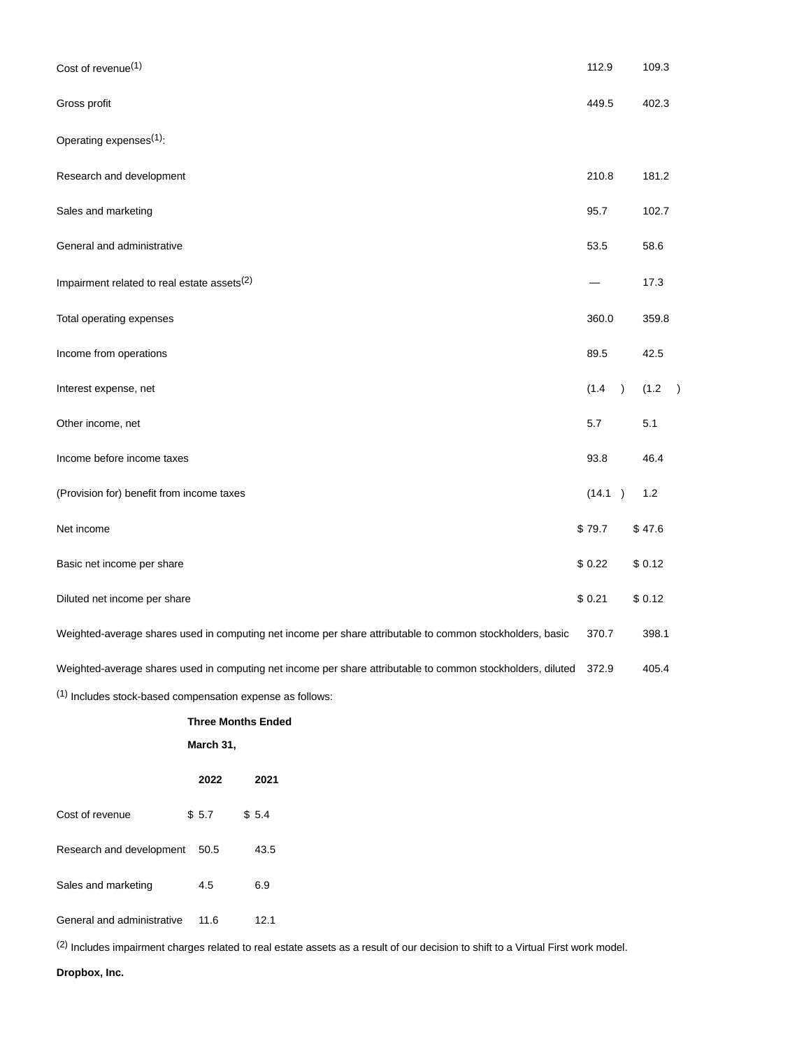| Cost of revenue <sup>(1)</sup>                                                                              | 112.9              | 109.3              |
|-------------------------------------------------------------------------------------------------------------|--------------------|--------------------|
| Gross profit                                                                                                | 449.5              | 402.3              |
| Operating expenses <sup>(1)</sup> :                                                                         |                    |                    |
| Research and development                                                                                    | 210.8              | 181.2              |
| Sales and marketing                                                                                         | 95.7               | 102.7              |
| General and administrative                                                                                  | 53.5               | 58.6               |
| Impairment related to real estate assets <sup>(2)</sup>                                                     |                    | 17.3               |
| Total operating expenses                                                                                    | 360.0              | 359.8              |
| Income from operations                                                                                      | 89.5               | 42.5               |
| Interest expense, net                                                                                       | (1.4)<br>$\lambda$ | (1.2)<br>$\lambda$ |
| Other income, net                                                                                           | 5.7                | 5.1                |
| Income before income taxes                                                                                  | 93.8               | 46.4               |
| (Provision for) benefit from income taxes                                                                   | (14.1)             | 1.2                |
| Net income                                                                                                  | \$79.7             | \$47.6             |
| Basic net income per share                                                                                  | \$0.22             | \$0.12             |
| Diluted net income per share                                                                                | \$0.21             | \$0.12             |
| Weighted-average shares used in computing net income per share attributable to common stockholders, basic   | 370.7              | 398.1              |
| Weighted-average shares used in computing net income per share attributable to common stockholders, diluted | 372.9              | 405.4              |
| (1) Includes stock-based compensation expense as follows:                                                   |                    |                    |
| <b>Three Months Ended</b>                                                                                   |                    |                    |
| March 31,                                                                                                   |                    |                    |
| 2022<br>2021                                                                                                |                    |                    |
| Cost of revenue<br>\$5.7<br>\$5.4                                                                           |                    |                    |
| Research and development<br>50.5<br>43.5                                                                    |                    |                    |

Sales and marketing  $4.5$  6.9

General and administrative 11.6 12.1

(2) Includes impairment charges related to real estate assets as a result of our decision to shift to a Virtual First work model.

**Dropbox, Inc.**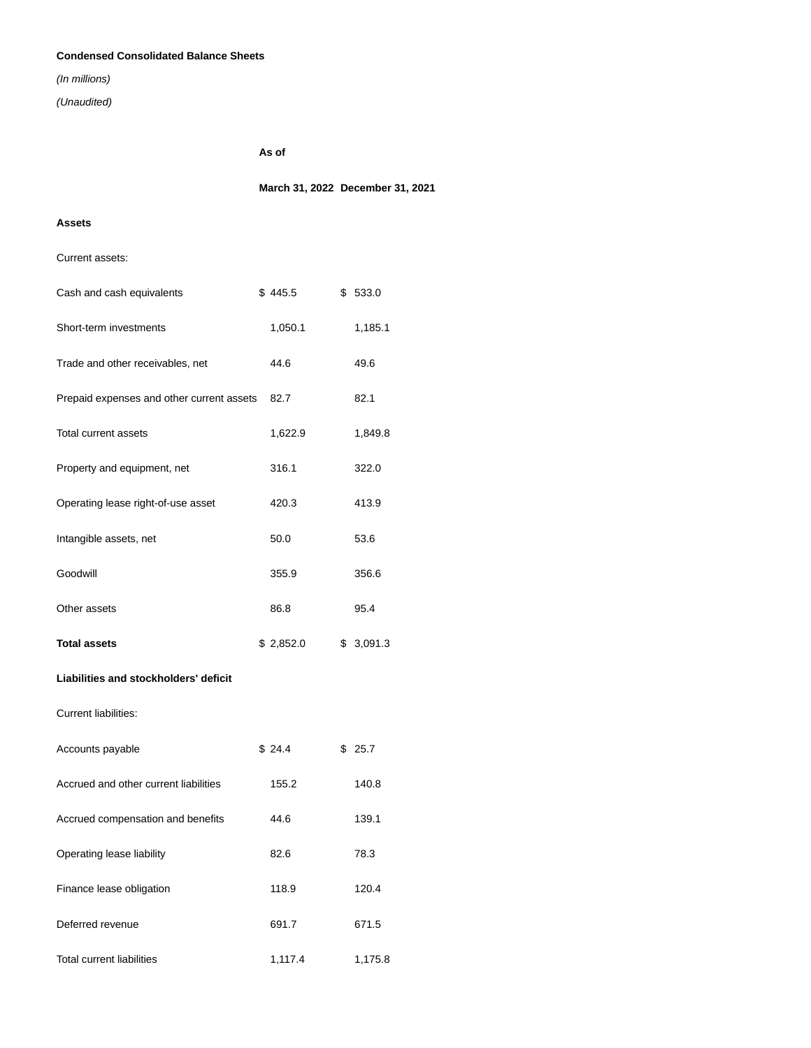#### **Condensed Consolidated Balance Sheets**

(In millions)

(Unaudited)

**As of**

**March 31, 2022 December 31, 2021**

### **Assets**

#### Current assets:

| Cash and cash equivalents                 | \$445.5   | \$<br>533.0 |
|-------------------------------------------|-----------|-------------|
| Short-term investments                    | 1,050.1   | 1,185.1     |
| Trade and other receivables, net          | 44.6      | 49.6        |
| Prepaid expenses and other current assets | 82.7      | 82.1        |
| Total current assets                      | 1,622.9   | 1,849.8     |
| Property and equipment, net               | 316.1     | 322.0       |
| Operating lease right-of-use asset        | 420.3     | 413.9       |
| Intangible assets, net                    | 50.0      | 53.6        |
| Goodwill                                  | 355.9     | 356.6       |
| Other assets                              | 86.8      | 95.4        |
| <b>Total assets</b>                       | \$2,852.0 | \$3,091.3   |
|                                           |           |             |
| Liabilities and stockholders' deficit     |           |             |
| Current liabilities:                      |           |             |
| Accounts payable                          | \$24.4    | \$25.7      |
| Accrued and other current liabilities     | 155.2     | 140.8       |
| Accrued compensation and benefits         | 44.6      | 139.1       |
| Operating lease liability                 | 82.6      | 78.3        |
| Finance lease obligation                  | 118.9     | 120.4       |
| Deferred revenue                          | 691.7     | 671.5       |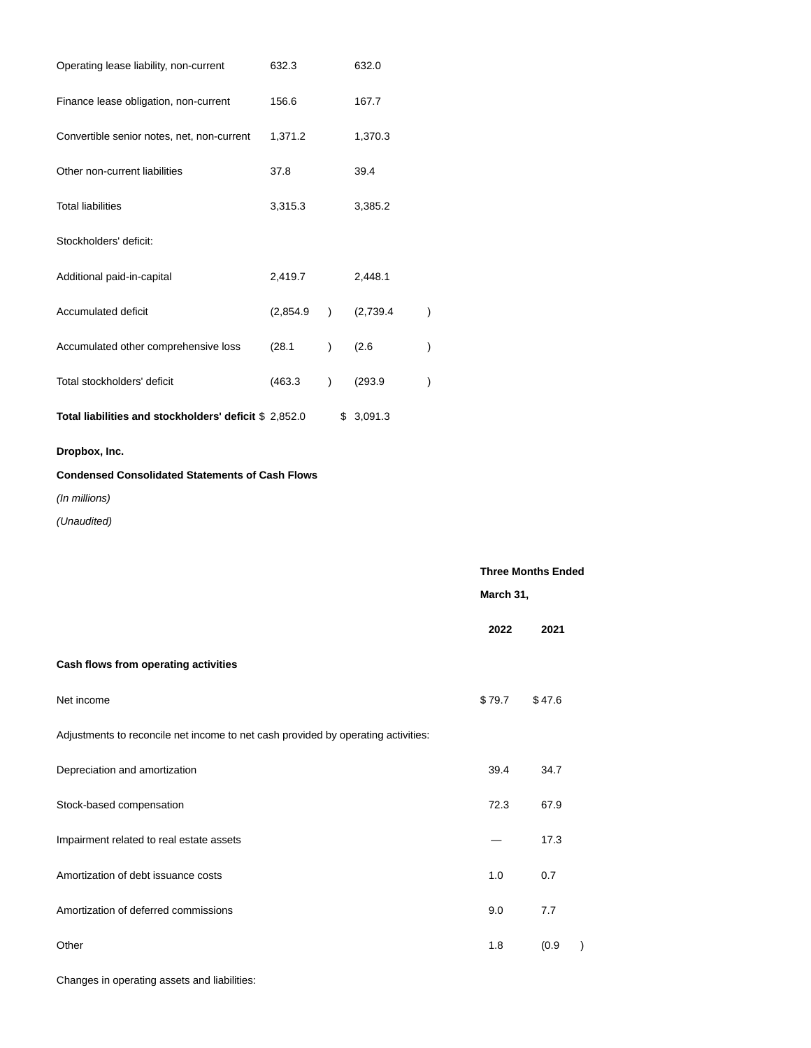| Dropbox, Inc.                                          |           |                |           |   |
|--------------------------------------------------------|-----------|----------------|-----------|---|
| Total liabilities and stockholders' deficit \$ 2,852.0 |           |                | \$3,091.3 |   |
| Total stockholders' deficit                            | (463.3)   | $\mathcal{E}$  | (293.9)   | ) |
| Accumulated other comprehensive loss                   | (28.1)    | $\mathcal{E}$  | (2.6)     | ) |
| Accumulated deficit                                    | (2,854.9) | $\overline{)}$ | (2,739.4) | ) |
| Additional paid-in-capital                             | 2,419.7   |                | 2,448.1   |   |
| Stockholders' deficit:                                 |           |                |           |   |
| <b>Total liabilities</b>                               | 3,315.3   |                | 3,385.2   |   |
| Other non-current liabilities                          | 37.8      |                | 39.4      |   |
| Convertible senior notes, net, non-current             | 1,371.2   |                | 1,370.3   |   |
| Finance lease obligation, non-current                  | 156.6     |                | 167.7     |   |
| Operating lease liability, non-current                 | 632.3     |                | 632.0     |   |

# **Condensed Consolidated Statements of Cash Flows**

- (In millions)
- (Unaudited)

|                                                                                   | <b>Three Months Ended</b> |        |  |  |
|-----------------------------------------------------------------------------------|---------------------------|--------|--|--|
|                                                                                   | March 31,                 |        |  |  |
|                                                                                   | 2022                      | 2021   |  |  |
| Cash flows from operating activities                                              |                           |        |  |  |
| Net income                                                                        | \$79.7                    | \$47.6 |  |  |
| Adjustments to reconcile net income to net cash provided by operating activities: |                           |        |  |  |
| Depreciation and amortization                                                     | 39.4                      | 34.7   |  |  |
| Stock-based compensation                                                          | 72.3                      | 67.9   |  |  |
| Impairment related to real estate assets                                          |                           | 17.3   |  |  |
| Amortization of debt issuance costs                                               | 1.0                       | 0.7    |  |  |
| Amortization of deferred commissions                                              | 9.0                       | 7.7    |  |  |
| Other                                                                             | 1.8                       | (0.9)  |  |  |

Changes in operating assets and liabilities: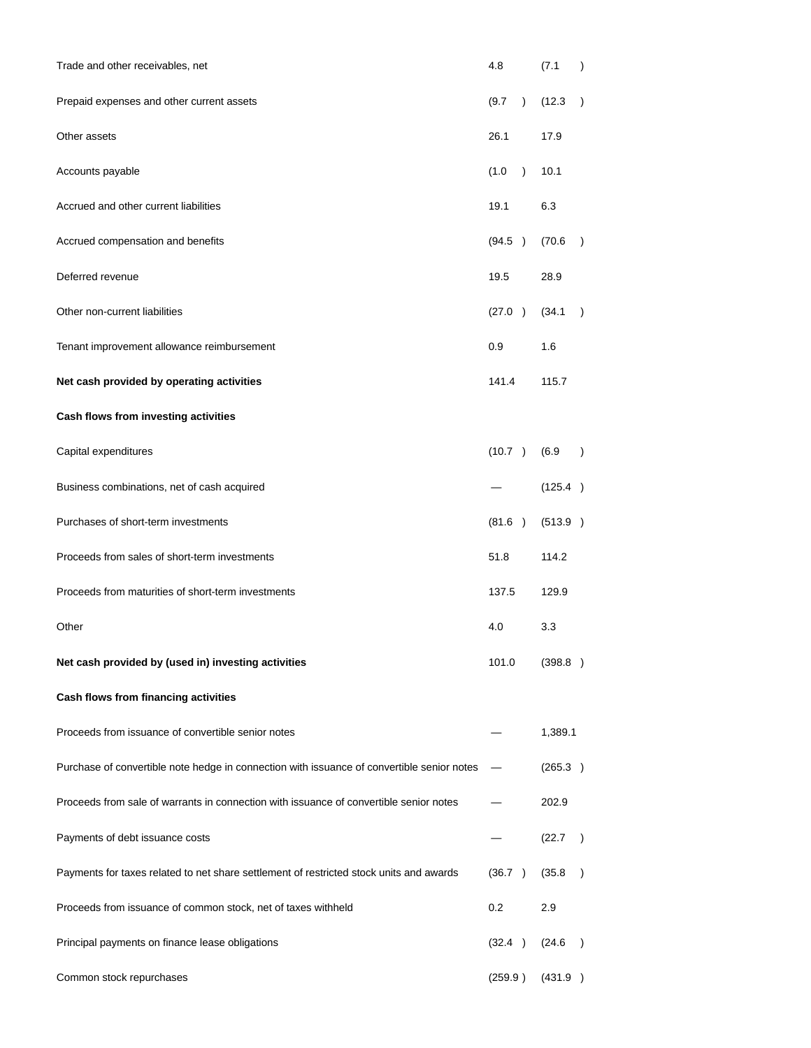| Trade and other receivables, net                                                           | 4.8     |           | (7.1)   | $\lambda$     |
|--------------------------------------------------------------------------------------------|---------|-----------|---------|---------------|
| Prepaid expenses and other current assets                                                  | (9.7)   | $\lambda$ | (12.3)  | $\rightarrow$ |
| Other assets                                                                               | 26.1    |           | 17.9    |               |
| Accounts payable                                                                           | (1.0)   | $\lambda$ | 10.1    |               |
| Accrued and other current liabilities                                                      | 19.1    |           | 6.3     |               |
| Accrued compensation and benefits                                                          | (94.5)  |           | (70.6)  | $\lambda$     |
| Deferred revenue                                                                           | 19.5    |           | 28.9    |               |
| Other non-current liabilities                                                              | (27.0)  |           | (34.1)  | $\lambda$     |
| Tenant improvement allowance reimbursement                                                 | 0.9     |           | 1.6     |               |
| Net cash provided by operating activities                                                  | 141.4   |           | 115.7   |               |
| Cash flows from investing activities                                                       |         |           |         |               |
| Capital expenditures                                                                       | (10.7)  |           | (6.9)   | $\lambda$     |
| Business combinations, net of cash acquired                                                |         |           | (125.4) |               |
| Purchases of short-term investments                                                        | (81.6)  |           | (513.9) |               |
| Proceeds from sales of short-term investments                                              | 51.8    |           | 114.2   |               |
| Proceeds from maturities of short-term investments                                         | 137.5   |           | 129.9   |               |
| Other                                                                                      | 4.0     |           | 3.3     |               |
| Net cash provided by (used in) investing activities                                        | 101.0   |           | (398.8) |               |
| Cash flows from financing activities                                                       |         |           |         |               |
| Proceeds from issuance of convertible senior notes                                         |         |           | 1,389.1 |               |
| Purchase of convertible note hedge in connection with issuance of convertible senior notes |         |           | (265.3) |               |
| Proceeds from sale of warrants in connection with issuance of convertible senior notes     |         |           | 202.9   |               |
| Payments of debt issuance costs                                                            |         |           | (22.7)  | $\rightarrow$ |
| Payments for taxes related to net share settlement of restricted stock units and awards    | (36.7)  |           | (35.8)  | $\lambda$     |
| Proceeds from issuance of common stock, net of taxes withheld                              | 0.2     |           | 2.9     |               |
| Principal payments on finance lease obligations                                            | (32.4)  |           | (24.6)  | $\rightarrow$ |
| Common stock repurchases                                                                   | (259.9) |           | (431.9) |               |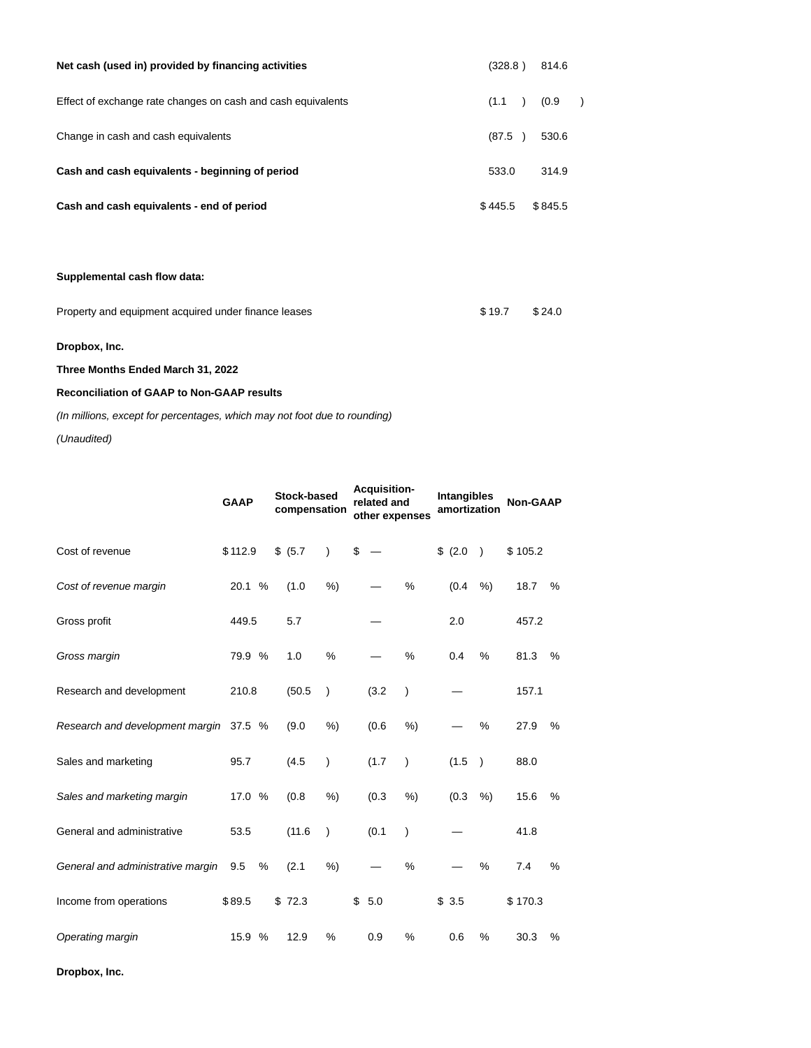| Net cash (used in) provided by financing activities          | (328.8)         | 814.6         |
|--------------------------------------------------------------|-----------------|---------------|
| Effect of exchange rate changes on cash and cash equivalents | $(1.1)$ $(0.9)$ | $\rightarrow$ |
| Change in cash and cash equivalents                          | (87.5           | 530.6         |
| Cash and cash equivalents - beginning of period              | 533.0           | 314.9         |
| Cash and cash equivalents - end of period                    | \$445.5         | \$845.5       |
|                                                              |                 |               |

## **Supplemental cash flow data:**

| Property and equipment acquired under finance leases | \$19.7 | \$24.0 |
|------------------------------------------------------|--------|--------|
|                                                      |        |        |

## **Dropbox, Inc.**

**Three Months Ended March 31, 2022**

## **Reconciliation of GAAP to Non-GAAP results**

(In millions, except for percentages, which may not foot due to rounding)

## (Unaudited)

|                                   | <b>GAAP</b> |   | <b>Stock-based</b><br>compensation |               | <b>Acquisition-</b><br>related and<br>other expenses |               | Intangibles<br>amortization |               | <b>Non-GAAP</b> |      |
|-----------------------------------|-------------|---|------------------------------------|---------------|------------------------------------------------------|---------------|-----------------------------|---------------|-----------------|------|
| Cost of revenue                   | \$112.9     |   | \$ (5.7)                           | $\mathcal{E}$ | \$                                                   |               | \$ (2.0)                    | $\lambda$     | \$105.2         |      |
| Cost of revenue margin            | 20.1 %      |   | (1.0)                              | $%$ )         |                                                      | %             | (0.4)                       | %             | 18.7            | %    |
| Gross profit                      | 449.5       |   | 5.7                                |               |                                                      |               | 2.0                         |               | 457.2           |      |
| Gross margin                      | 79.9 %      |   | 1.0                                | %             |                                                      | %             | 0.4                         | %             | 81.3            | %    |
| Research and development          | 210.8       |   | (50.5)                             | $\lambda$     | (3.2)                                                | $\lambda$     |                             |               | 157.1           |      |
| Research and development margin   | 37.5 %      |   | (9.0)                              | $%$ )         | (0.6)                                                | $%$ )         |                             | %             | 27.9            | %    |
| Sales and marketing               | 95.7        |   | (4.5)                              | $\mathcal{E}$ | (1.7)                                                | $\mathcal{E}$ | (1.5)                       | $\rightarrow$ | 88.0            |      |
| Sales and marketing margin        | 17.0 %      |   | (0.8)                              | $%$ )         | (0.3)                                                | %)            | (0.3)                       | $%$ )         | 15.6            | %    |
| General and administrative        | 53.5        |   | (11.6)                             | $\lambda$     | (0.1)                                                | $\mathcal{E}$ |                             |               | 41.8            |      |
| General and administrative margin | 9.5         | % | (2.1)                              | $%$ )         |                                                      | %             |                             | %             | 7.4             | $\%$ |
| Income from operations            | \$89.5      |   | \$72.3                             |               | \$<br>5.0                                            |               | \$3.5                       |               | \$170.3         |      |
| Operating margin                  | 15.9 %      |   | 12.9                               | %             | 0.9                                                  | %             | 0.6                         | %             | 30.3            | %    |

**Dropbox, Inc.**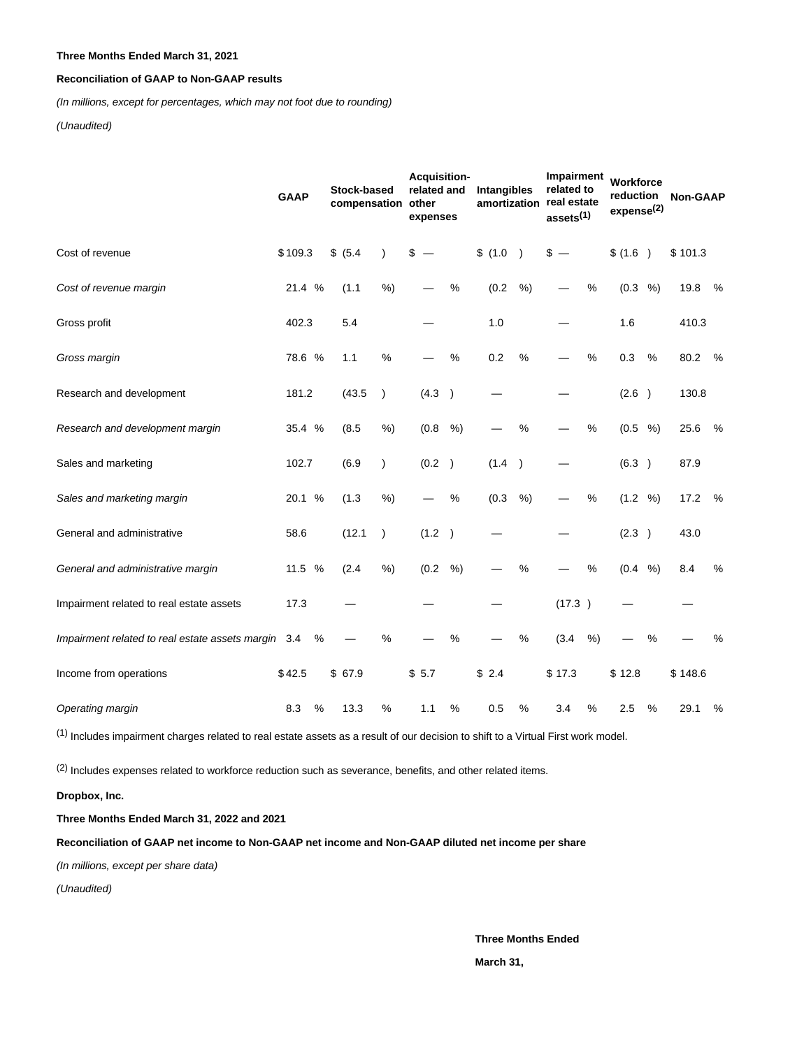#### **Three Months Ended March 31, 2021**

### **Reconciliation of GAAP to Non-GAAP results**

(In millions, except for percentages, which may not foot due to rounding)

### (Unaudited)

|                                                     | <b>GAAP</b> | Stock-based<br>compensation other |           | <b>Acquisition-</b><br>related and<br>expenses |               | Intangibles<br>amortization |       | Impairment<br>related to<br>real estate<br>assets <sup>(1)</sup> |      | Workforce<br>reduction<br>expense <sup>(2)</sup> |      | <b>Non-GAAP</b> |      |
|-----------------------------------------------------|-------------|-----------------------------------|-----------|------------------------------------------------|---------------|-----------------------------|-------|------------------------------------------------------------------|------|--------------------------------------------------|------|-----------------|------|
| Cost of revenue                                     | \$109.3     | \$ (5.4)                          | $\lambda$ | \$                                             |               | \$(1.0)<br>$\rightarrow$    |       | $s -$                                                            |      | \$ (1.6)                                         |      | \$101.3         |      |
| Cost of revenue margin                              | 21.4 %      | (1.1)                             | %)        |                                                | $\%$          | (0.2)                       | $%$ ) |                                                                  | %    | $(0.3 \, %)$                                     |      | 19.8            | %    |
| Gross profit                                        | 402.3       | 5.4                               |           |                                                |               | 1.0                         |       |                                                                  |      | 1.6                                              |      | 410.3           |      |
| Gross margin                                        | 78.6 %      | 1.1                               | %         |                                                | %             | 0.2                         | %     |                                                                  | %    | 0.3                                              | $\%$ | 80.2            | %    |
| Research and development                            | 181.2       | (43.5)                            | $\lambda$ | (4.3)                                          | $\rightarrow$ |                             |       |                                                                  |      | (2.6)                                            |      | 130.8           |      |
| Research and development margin                     | 35.4 %      | (8.5)                             | %)        | (0.8)                                          | $%$ )         |                             | %     |                                                                  | %    | $(0.5 \, \% )$                                   |      | 25.6            | %    |
| Sales and marketing                                 | 102.7       | (6.9)                             | $\lambda$ | (0.2)                                          |               | (1.4)<br>$\rightarrow$      |       |                                                                  |      | (6.3)                                            |      | 87.9            |      |
| Sales and marketing margin                          | 20.1 %      | (1.3)                             | $%$ )     |                                                | %             | (0.3)                       | $%$ ) |                                                                  | $\%$ | (1.2 %)                                          |      | 17.2            | %    |
| General and administrative                          | 58.6        | (12.1)                            | $\lambda$ | (1.2)                                          |               |                             |       |                                                                  |      | (2.3)                                            |      | 43.0            |      |
| General and administrative margin                   | 11.5 %      | (2.4)                             | %)        | $(0.2 \quad \%$                                |               |                             | %     |                                                                  | %    | (0.4 %)                                          |      | 8.4             | $\%$ |
| Impairment related to real estate assets            | 17.3        |                                   |           |                                                |               |                             |       | (17.3)                                                           |      |                                                  |      |                 |      |
| Impairment related to real estate assets margin 3.4 | %           |                                   | %         |                                                | $\%$          |                             | %     | (3.4)                                                            | %    |                                                  | $\%$ |                 | %    |
| Income from operations                              | \$42.5      | \$67.9                            |           | \$5.7                                          |               | \$2.4                       |       | \$17.3                                                           |      | \$12.8                                           |      | \$148.6         |      |
| Operating margin                                    | 8.3<br>%    | 13.3                              | %         | 1.1                                            | %             | 0.5                         | %     | 3.4                                                              | $\%$ | 2.5                                              | $\%$ | 29.1            | $\%$ |

(1) Includes impairment charges related to real estate assets as a result of our decision to shift to a Virtual First work model.

(2) Includes expenses related to workforce reduction such as severance, benefits, and other related items.

#### **Dropbox, Inc.**

**Three Months Ended March 31, 2022 and 2021**

**Reconciliation of GAAP net income to Non-GAAP net income and Non-GAAP diluted net income per share**

(In millions, except per share data)

(Unaudited)

**Three Months Ended March 31,**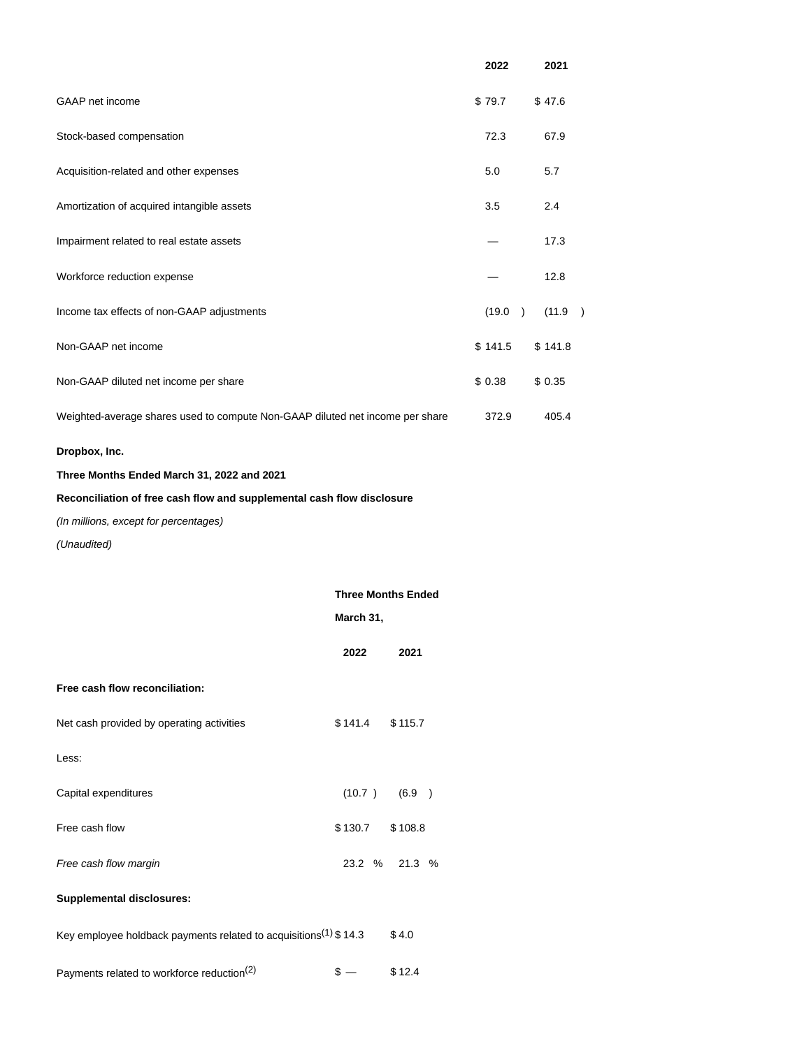|                                                                               | 2022    | 2021                    |
|-------------------------------------------------------------------------------|---------|-------------------------|
| GAAP net income                                                               | \$79.7  | \$47.6                  |
| Stock-based compensation                                                      | 72.3    | 67.9                    |
| Acquisition-related and other expenses                                        | 5.0     | 5.7                     |
| Amortization of acquired intangible assets                                    | 3.5     | 2.4                     |
| Impairment related to real estate assets                                      |         | 17.3                    |
| Workforce reduction expense                                                   |         | 12.8                    |
| Income tax effects of non-GAAP adjustments                                    | (19.0)  | (11.9)<br>$\mathcal{E}$ |
| Non-GAAP net income                                                           | \$141.5 | \$141.8                 |
| Non-GAAP diluted net income per share                                         | \$0.38  | \$0.35                  |
| Weighted-average shares used to compute Non-GAAP diluted net income per share | 372.9   | 405.4                   |
| Dropbox, Inc.                                                                 |         |                         |
| Three Months Ended March 31, 2022 and 2021                                    |         |                         |
| Reconciliation of free cash flow and supplemental cash flow disclosure        |         |                         |
| (In millions, except for percentages)                                         |         |                         |
| (Unaudited)                                                                   |         |                         |
|                                                                               |         |                         |
| <b>Three Months Ended</b>                                                     |         |                         |
| March 31,                                                                     |         |                         |

|                                                                               | 2022    | 2021             |  |
|-------------------------------------------------------------------------------|---------|------------------|--|
| Free cash flow reconciliation:                                                |         |                  |  |
| Net cash provided by operating activities                                     | \$141.4 | \$115.7          |  |
| Less:                                                                         |         |                  |  |
| Capital expenditures                                                          |         | $(10.7)$ $(6.9)$ |  |
| Free cash flow                                                                | \$130.7 | \$108.8          |  |
| Free cash flow margin                                                         |         | 23.2 % 21.3 %    |  |
| <b>Supplemental disclosures:</b>                                              |         |                  |  |
| Key employee holdback payments related to acquisitions <sup>(1)</sup> $$14.3$ |         | \$4.0            |  |

Payments related to workforce reduction<sup>(2)</sup>  $\qquad$   $\qquad$   $\qquad$  \$ 12.4